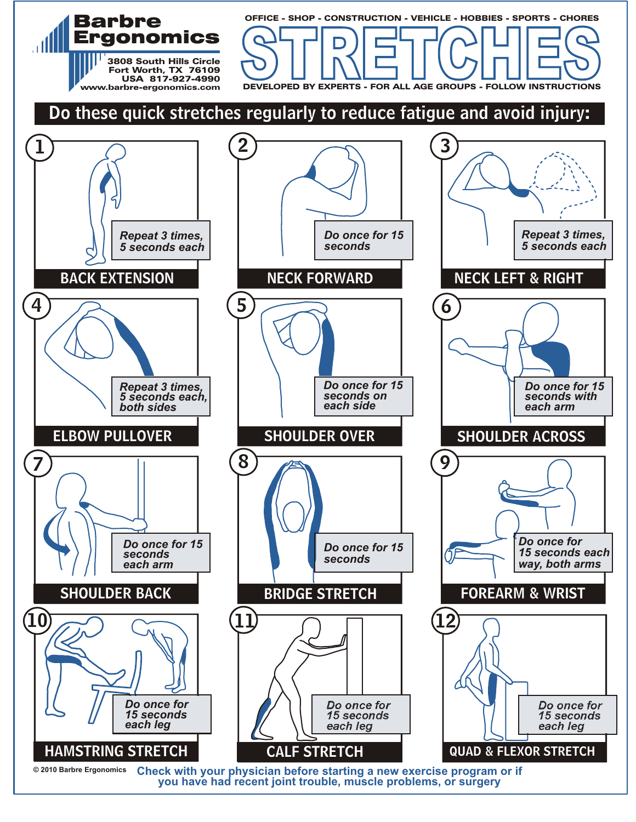